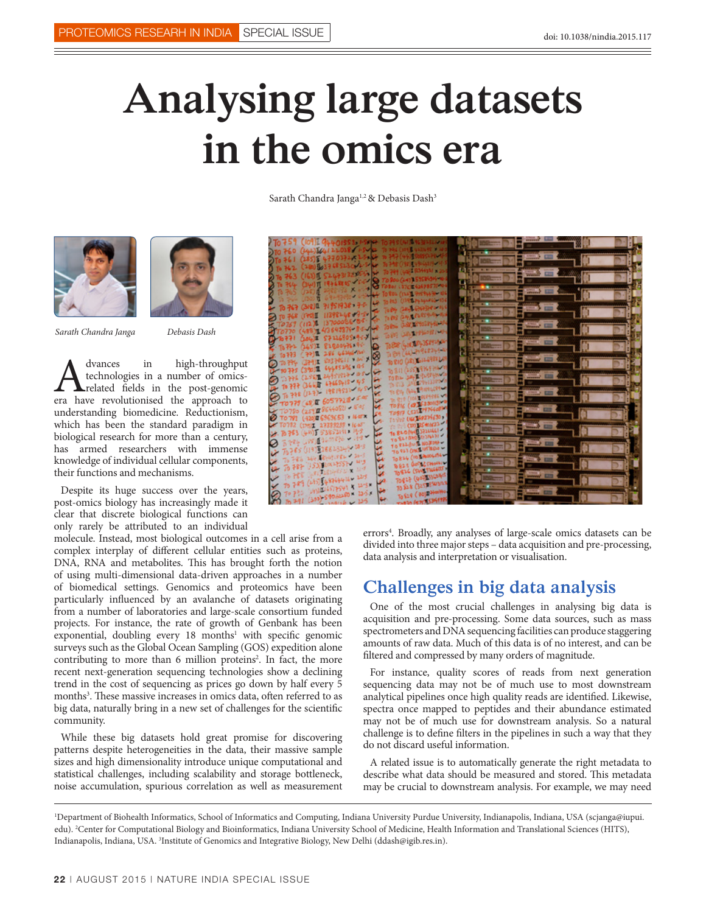## **Analysing large datasets in the omics era**

Sarath Chandra Janga<sup>1,2</sup> & Debasis Dash<sup>3</sup>





*Sarath Chandra Janga Debasis Dash*

A dvances in high-throughput<br>technologies in a number of omics-<br>era have revolutionised the approach to technologies in a number of omicsrelated fields in the post-genomic era have revolutionised the approach to understanding biomedicine. Reductionism, which has been the standard paradigm in biological research for more than a century, has armed researchers with immense knowledge of individual cellular components, their functions and mechanisms.

Despite its huge success over the years, post-omics biology has increasingly made it clear that discrete biological functions can only rarely be attributed to an individual

molecule. Instead, most biological outcomes in a cell arise from a complex interplay of different cellular entities such as proteins, DNA, RNA and metabolites. This has brought forth the notion of using multi-dimensional data-driven approaches in a number of biomedical settings. Genomics and proteomics have been particularly influenced by an avalanche of datasets originating from a number of laboratories and large-scale consortium funded projects. For instance, the rate of growth of Genbank has been exponential, doubling every 18 months<sup>1</sup> with specific genomic surveys such as the Global Ocean Sampling (GOS) expedition alone contributing to more than 6 million proteins<sup>2</sup>. In fact, the more recent next-generation sequencing technologies show a declining trend in the cost of sequencing as prices go down by half every 5 months<sup>3</sup>. These massive increases in omics data, often referred to as big data, naturally bring in a new set of challenges for the scientific community.

While these big datasets hold great promise for discovering patterns despite heterogeneities in the data, their massive sample sizes and high dimensionality introduce unique computational and statistical challenges, including scalability and storage bottleneck, noise accumulation, spurious correlation as well as measurement

errors<sup>4</sup>. Broadly, any analyses of large-scale omics datasets can be divided into three major steps – data acquisition and pre-processing, data analysis and interpretation or visualisation.

## **Challenges in big data analysis**

One of the most crucial challenges in analysing big data is acquisition and pre-processing. Some data sources, such as mass spectrometers and DNA sequencing facilities can produce staggering amounts of raw data. Much of this data is of no interest, and can be filtered and compressed by many orders of magnitude.

For instance, quality scores of reads from next generation sequencing data may not be of much use to most downstream analytical pipelines once high quality reads are identified. Likewise, spectra once mapped to peptides and their abundance estimated may not be of much use for downstream analysis. So a natural challenge is to define filters in the pipelines in such a way that they do not discard useful information.

A related issue is to automatically generate the right metadata to describe what data should be measured and stored. This metadata may be crucial to downstream analysis. For example, we may need

<sup>1</sup> Department of Biohealth Informatics, School of Informatics and Computing, Indiana University Purdue University, Indianapolis, Indiana, USA (scjanga@iupui. edu). 2 Center for Computational Biology and Bioinformatics, Indiana University School of Medicine, Health Information and Translational Sciences (HITS), Indianapolis, Indiana, USA. <sup>3</sup>Institute of Genomics and Integrative Biology, New Delhi (ddash@igib.res.in).